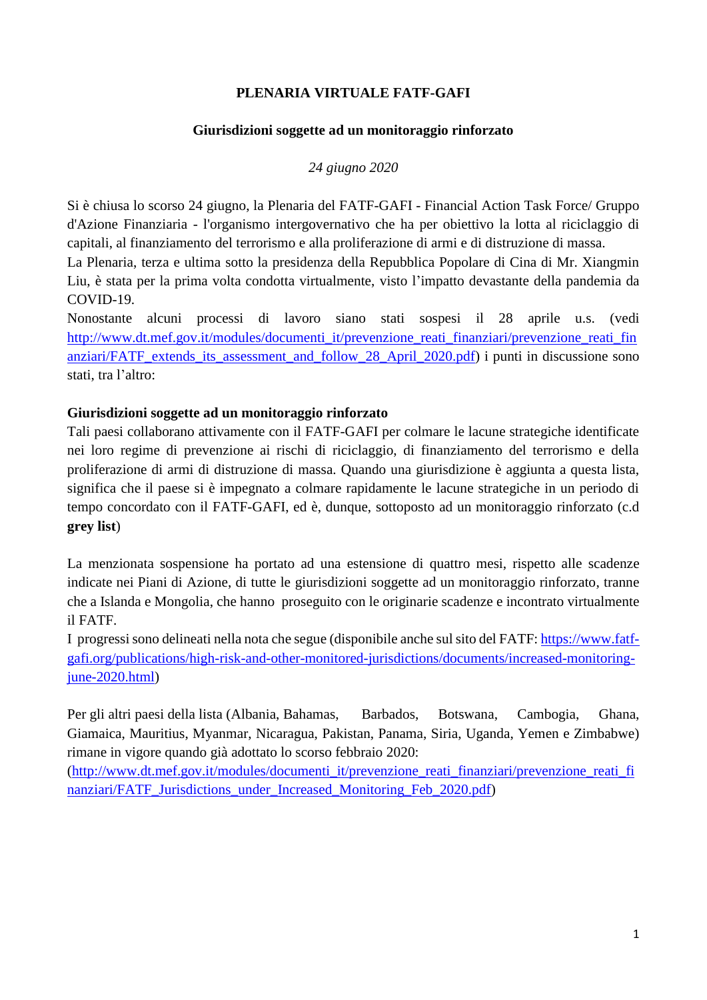# **PLENARIA VIRTUALE FATF-GAFI**

### **Giurisdizioni soggette ad un monitoraggio rinforzato**

# *24 giugno 2020*

Si è chiusa lo scorso 24 giugno, la Plenaria del FATF-GAFI - Financial Action Task Force/ Gruppo d'Azione Finanziaria - l'organismo intergovernativo che ha per obiettivo la lotta al riciclaggio di capitali, al finanziamento del terrorismo e alla proliferazione di armi e di distruzione di massa.

La Plenaria, terza e ultima sotto la presidenza della Repubblica Popolare di Cina di Mr. Xiangmin Liu, è stata per la prima volta condotta virtualmente, visto l'impatto devastante della pandemia da COVID-19.

Nonostante alcuni processi di lavoro siano stati sospesi il 28 aprile u.s. (vedi [http://www.dt.mef.gov.it/modules/documenti\\_it/prevenzione\\_reati\\_finanziari/prevenzione\\_reati\\_fin](http://www.dt.mef.gov.it/modules/documenti_it/prevenzione_reati_finanziari/prevenzione_reati_finanziari/FATF_extends_its_assessment_and_follow_28_April_2020.pdf) [anziari/FATF\\_extends\\_its\\_assessment\\_and\\_follow\\_28\\_April\\_2020.pdf\)](http://www.dt.mef.gov.it/modules/documenti_it/prevenzione_reati_finanziari/prevenzione_reati_finanziari/FATF_extends_its_assessment_and_follow_28_April_2020.pdf) i punti in discussione sono stati, tra l'altro:

# **Giurisdizioni soggette ad un monitoraggio rinforzato**

Tali paesi collaborano attivamente con il FATF-GAFI per colmare le lacune strategiche identificate nei loro regime di prevenzione ai rischi di riciclaggio, di finanziamento del terrorismo e della proliferazione di armi di distruzione di massa. Quando una giurisdizione è aggiunta a questa lista, significa che il paese si è impegnato a colmare rapidamente le lacune strategiche in un periodo di tempo concordato con il FATF-GAFI, ed è, dunque, sottoposto ad un monitoraggio rinforzato (c.d **grey list**)

La menzionata sospensione ha portato ad una estensione di quattro mesi, rispetto alle scadenze indicate nei Piani di Azione, di tutte le giurisdizioni soggette ad un monitoraggio rinforzato, tranne che a Islanda e Mongolia, che hanno proseguito con le originarie scadenze e incontrato virtualmente il FATF.

I progressi sono delineati nella nota che segue (disponibile anche sul sito del FATF[: https://www.fatf](https://www.fatf-gafi.org/publications/high-risk-and-other-monitored-jurisdictions/documents/increased-monitoring-june-2020.html)[gafi.org/publications/high-risk-and-other-monitored-jurisdictions/documents/increased-monitoring](https://www.fatf-gafi.org/publications/high-risk-and-other-monitored-jurisdictions/documents/increased-monitoring-june-2020.html)[june-2020.html\)](https://www.fatf-gafi.org/publications/high-risk-and-other-monitored-jurisdictions/documents/increased-monitoring-june-2020.html)

Per gli altri paesi della lista (Albania, Bahamas, Barbados, Botswana, Cambogia, Ghana, Giamaica, Mauritius, Myanmar, Nicaragua, Pakistan, Panama, Siria, Uganda, Yemen e Zimbabwe) rimane in vigore quando già adottato lo scorso febbraio 2020:

[\(http://www.dt.mef.gov.it/modules/documenti\\_it/prevenzione\\_reati\\_finanziari/prevenzione\\_reati\\_fi](http://www.dt.mef.gov.it/modules/documenti_it/prevenzione_reati_finanziari/prevenzione_reati_finanziari/FATF_Jurisdictions_under_Increased_Monitoring_Feb_2020.pdf) [nanziari/FATF\\_Jurisdictions\\_under\\_Increased\\_Monitoring\\_Feb\\_2020.pdf\)](http://www.dt.mef.gov.it/modules/documenti_it/prevenzione_reati_finanziari/prevenzione_reati_finanziari/FATF_Jurisdictions_under_Increased_Monitoring_Feb_2020.pdf)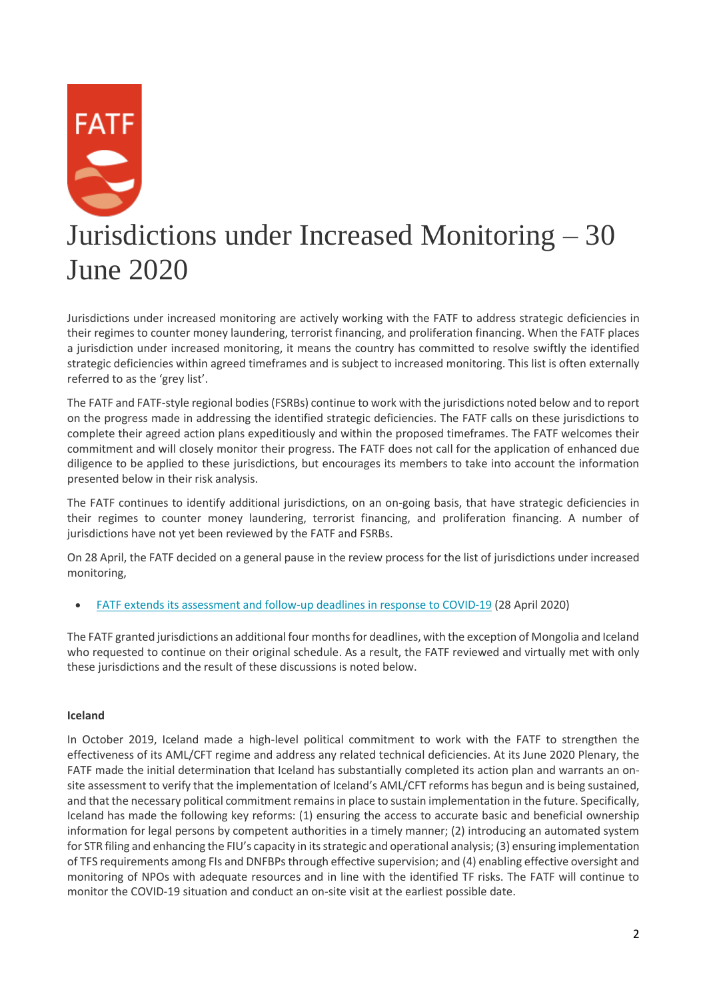# Jurisdictions under Increased Monitoring – 30 June 2020

Jurisdictions under increased monitoring are actively working with the FATF to address strategic deficiencies in their regimes to counter money laundering, terrorist financing, and proliferation financing. When the FATF places a jurisdiction under increased monitoring, it means the country has committed to resolve swiftly the identified strategic deficiencies within agreed timeframes and is subject to increased monitoring. This list is often externally referred to as the 'grey list'.

The FATF and FATF-style regional bodies (FSRBs) continue to work with the jurisdictions noted below and to report on the progress made in addressing the identified strategic deficiencies. The FATF calls on these jurisdictions to complete their agreed action plans expeditiously and within the proposed timeframes. The FATF welcomes their commitment and will closely monitor their progress. The FATF does not call for the application of enhanced due diligence to be applied to these jurisdictions, but encourages its members to take into account the information presented below in their risk analysis.

The FATF continues to identify additional jurisdictions, on an on-going basis, that have strategic deficiencies in their regimes to counter money laundering, terrorist financing, and proliferation financing. A number of jurisdictions have not yet been reviewed by the FATF and FSRBs.

On 28 April, the FATF decided on a general pause in the review process for the list of jurisdictions under increased monitoring,

[FATF extends its assessment and follow-up deadlines in response to COVID-19](http://www.fatf-gafi.org/publications/fatfgeneral/documents/mer-postponement-covid-19.html) (28 April 2020)

The FATF granted jurisdictions an additional four months for deadlines, with the exception of Mongolia and Iceland who requested to continue on their original schedule. As a result, the FATF reviewed and virtually met with only these jurisdictions and the result of these discussions is noted below.

### **Iceland**

In October 2019, Iceland made a high-level political commitment to work with the FATF to strengthen the effectiveness of its AML/CFT regime and address any related technical deficiencies. At its June 2020 Plenary, the FATF made the initial determination that Iceland has substantially completed its action plan and warrants an onsite assessment to verify that the implementation of Iceland's AML/CFT reforms has begun and is being sustained, and that the necessary political commitment remains in place to sustain implementation in the future. Specifically, Iceland has made the following key reforms: (1) ensuring the access to accurate basic and beneficial ownership information for legal persons by competent authorities in a timely manner; (2) introducing an automated system for STR filing and enhancing the FIU's capacity in its strategic and operational analysis; (3) ensuring implementation of TFS requirements among FIs and DNFBPs through effective supervision; and (4) enabling effective oversight and monitoring of NPOs with adequate resources and in line with the identified TF risks. The FATF will continue to monitor the COVID-19 situation and conduct an on-site visit at the earliest possible date.